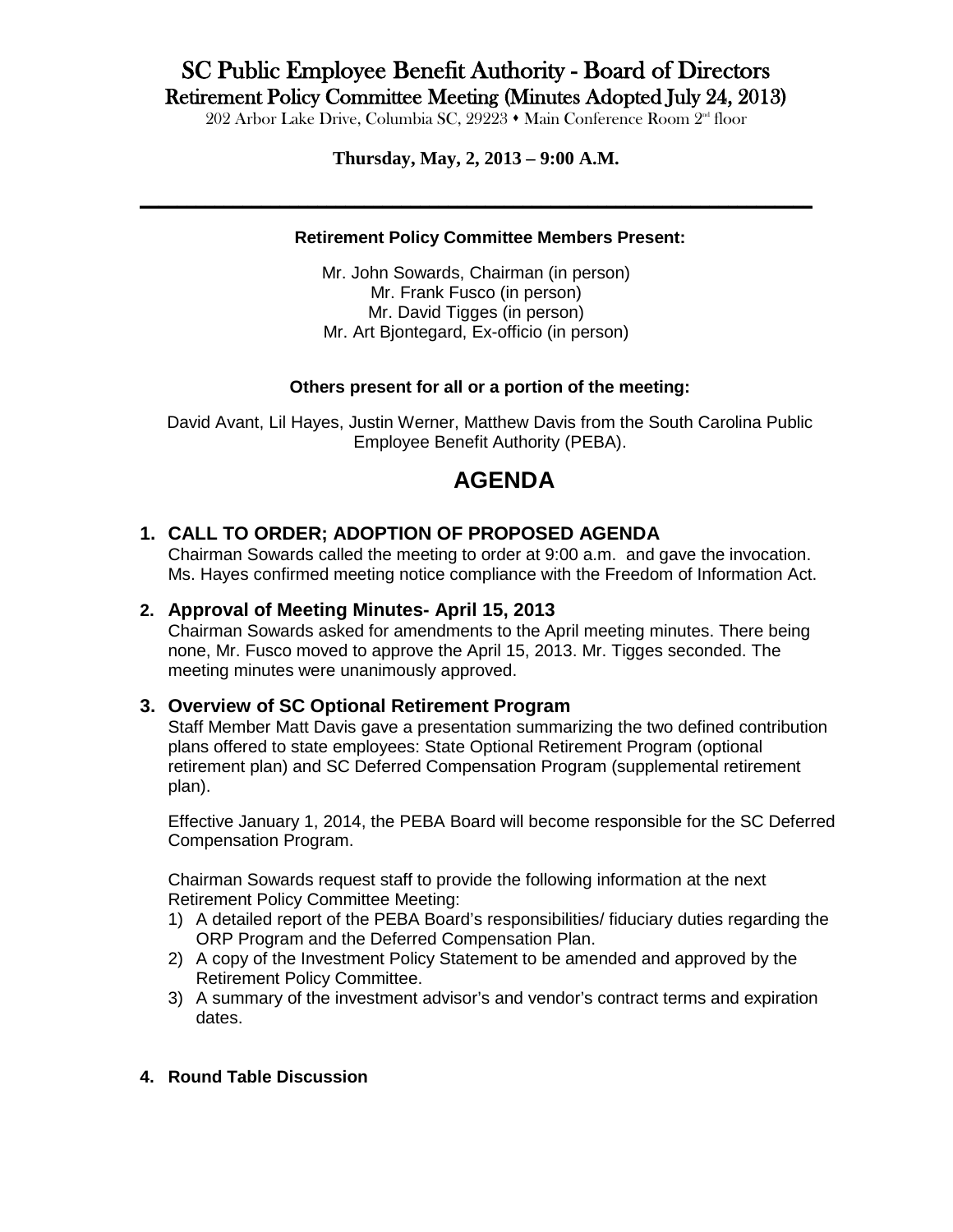# SC Public Employee Benefit Authority - Board of Directors Retirement Policy Committee Meeting (Minutes Adopted July 24, 2013)<br>202 Arbor Lake Drive, Columbia SC, 29223  $\cdot$  Main Conference Room 2<sup>nd</sup> floor

### **Thursday, May, 2, 2013 – 9:00 A.M.**

**\_\_\_\_\_\_\_\_\_\_\_\_\_\_\_\_\_\_\_\_\_\_\_\_\_\_\_\_\_\_\_\_\_\_\_\_\_\_\_\_\_\_\_\_\_\_\_\_\_\_\_\_\_\_\_\_\_\_\_\_\_\_\_\_\_\_\_\_\_\_\_\_**

#### **Retirement Policy Committee Members Present:**

Mr. John Sowards, Chairman (in person) Mr. Frank Fusco (in person) Mr. David Tigges (in person) Mr. Art Bjontegard, Ex-officio (in person)

#### **Others present for all or a portion of the meeting:**

David Avant, Lil Hayes, Justin Werner, Matthew Davis from the South Carolina Public Employee Benefit Authority (PEBA).

# **AGENDA**

## **1. CALL TO ORDER; ADOPTION OF PROPOSED AGENDA**

Chairman Sowards called the meeting to order at 9:00 a.m. and gave the invocation. Ms. Hayes confirmed meeting notice compliance with the Freedom of Information Act.

#### **2. Approval of Meeting Minutes- April 15, 2013**

Chairman Sowards asked for amendments to the April meeting minutes. There being none, Mr. Fusco moved to approve the April 15, 2013. Mr. Tigges seconded. The meeting minutes were unanimously approved.

#### **3. Overview of SC Optional Retirement Program**

Staff Member Matt Davis gave a presentation summarizing the two defined contribution plans offered to state employees: State Optional Retirement Program (optional retirement plan) and SC Deferred Compensation Program (supplemental retirement plan).

Effective January 1, 2014, the PEBA Board will become responsible for the SC Deferred Compensation Program.

Chairman Sowards request staff to provide the following information at the next Retirement Policy Committee Meeting:

- 1) A detailed report of the PEBA Board's responsibilities/ fiduciary duties regarding the ORP Program and the Deferred Compensation Plan.
- 2) A copy of the Investment Policy Statement to be amended and approved by the Retirement Policy Committee.
- 3) A summary of the investment advisor's and vendor's contract terms and expiration dates.
- **4. Round Table Discussion**